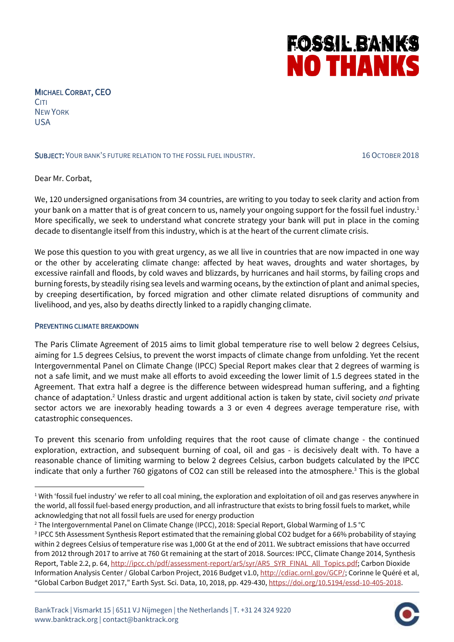# **FOSSIL BANKS NO THANKS**

MICHAEL CORBAT, CEO **CITI** NEW YORK USA

### SUBJECT: YOUR BANK'S FUTURE RELATION TO THE FOSSIL FUEL INDUSTRY. 16 OCTOBER 2018

Dear Mr. Corbat,

We, 120 undersigned organisations from 34 countries, are writing to you today to seek clarity and action from your bank on a matter that is of great concern to us, namely your ongoing support for the fossil fuel industry.<sup>1</sup> More specifically, we seek to understand what concrete strategy your bank will put in place in the coming decade to disentangle itself from this industry, which is at the heart of the current climate crisis.

We pose this question to you with great urgency, as we all live in countries that are now impacted in one way or the other by accelerating climate change: affected by heat waves, droughts and water shortages, by excessive rainfall and floods, by cold waves and blizzards, by hurricanes and hail storms, by failing crops and burning forests, by steadily rising sea levels and warming oceans, by the extinction of plant and animal species, by creeping desertification, by forced migration and other climate related disruptions of community and livelihood, and yes, also by deaths directly linked to a rapidly changing climate.

#### PREVENTING CLIMATE BREAKDOWN

1

The Paris Climate Agreement of 2015 aims to limit global temperature rise to well below 2 degrees Celsius, aiming for 1.5 degrees Celsius, to prevent the worst impacts of climate change from unfolding. Yet the recent Intergovernmental Panel on Climate Change (IPCC) Special Report makes clear that 2 degrees of warming is not a safe limit, and we must make all efforts to avoid exceeding the lower limit of 1.5 degrees stated in the Agreement. That extra half a degree is the difference between widespread human suffering, and a fighting chance of adaptation.<sup>2</sup> Unless drastic and urgent additional action is taken by state, civil society *and* private sector actors we are inexorably heading towards a 3 or even 4 degrees average temperature rise, with catastrophic consequences.

To prevent this scenario from unfolding requires that the root cause of climate change - the continued exploration, extraction, and subsequent burning of coal, oil and gas - is decisively dealt with. To have a reasonable chance of limiting warming to below 2 degrees Celsius, carbon budgets calculated by the IPCC indicate that only a further 760 gigatons of CO2 can still be released into the atmosphere.<sup>3</sup> This is the global



 $1$  With 'fossil fuel industry' we refer to all coal mining, the exploration and exploitation of oil and gas reserves anywhere in the world, all fossil fuel-based energy production, and all infrastructure that exists to bring fossil fuels to market, while acknowledging that not all fossil fuels are used for energy production

<sup>&</sup>lt;sup>2</sup> The Intergovernmental Panel on Climate Change (IPCC), 2018: Special Report, Global Warming of 1.5 °C

<sup>&</sup>lt;sup>3</sup> IPCC 5th Assessment Synthesis Report estimated that the remaining global CO2 budget for a 66% probability of staying within 2 degrees Celsius of temperature rise was 1,000 Gt at the end of 2011. We subtract emissions that have occurred from 2012 through 2017 to arrive at 760 Gt remaining at the start of 2018. Sources: IPCC, Climate Change 2014, Synthesis Report, Table 2.2, p. 64[, http://ipcc.ch/pdf/assessment-report/ar5/syr/AR5\\_SYR\\_FINAL\\_All\\_Topics.pdf;](http://ipcc.ch/pdf/assessment-report/ar5/syr/AR5_SYR_FINAL_All_Topics.pdf) Carbon Dioxide Information Analysis Center / Global Carbon Project, 2016 Budget v1.0[, http://cdiac.ornl.gov/GCP/;](http://cdiac.ornl.gov/GCP/) Corinne le Quéré et al, "Global Carbon Budget 2017," Earth Syst. Sci. Data, 10, 2018, pp. 429-430[, https://doi.org/10.5194/essd-10-405-2018.](https://doi.org/10.5194/essd-10-405-2018)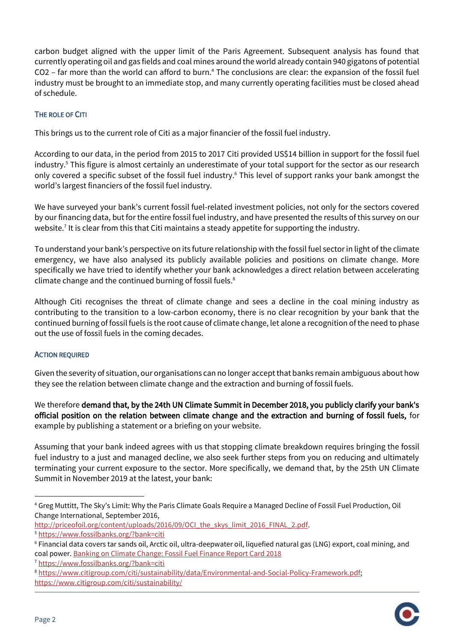carbon budget aligned with the upper limit of the Paris Agreement. Subsequent analysis has found that currently operating oil and gas fields and coal mines around the world already contain 940 gigatons of potential CO2 – far more than the world can afford to burn.<sup>4</sup> The conclusions are clear: the expansion of the fossil fuel industry must be brought to an immediate stop, and many currently operating facilities must be closed ahead of schedule.

## THE ROLE OF CITI

This brings us to the current role of Citi as a major financier of the fossil fuel industry.

According to our data, in the period from 2015 to 2017 Citi provided US\$14 billion in support for the fossil fuel industry.<sup>5</sup> This figure is almost certainly an underestimate of your total support for the sector as our research only covered a specific subset of the fossil fuel industry. <sup>6</sup> This level of support ranks your bank amongst the world's largest financiers of the fossil fuel industry.

We have surveyed your bank's current fossil fuel-related investment policies, not only for the sectors covered by our financing data, but for the entire fossil fuel industry, and have presented the results of this survey on our website.<sup>7</sup> It is clear from this that Citi maintains a steady appetite for supporting the industry.

To understand your bank's perspective on its future relationship with the fossil fuel sector in light of the climate emergency, we have also analysed its publicly available policies and positions on climate change. More specifically we have tried to identify whether your bank acknowledges a direct relation between accelerating climate change and the continued burning of fossil fuels.<sup>8</sup>

Although Citi recognises the threat of climate change and sees a decline in the coal mining industry as contributing to the transition to a low-carbon economy, there is no clear recognition by your bank that the continued burning of fossil fuels is the root cause of climate change, let alone a recognition of the need to phase out the use of fossil fuels in the coming decades.

## ACTION REQUIRED

Given the severity of situation, our organisations can no longer accept that banks remain ambiguous about how they see the relation between climate change and the extraction and burning of fossil fuels.

We therefore demand that, by the 24th UN Climate Summit in December 2018, you publicly clarify your bank's official position on the relation between climate change and the extraction and burning of fossil fuels, for example by publishing a statement or a briefing on your website.

Assuming that your bank indeed agrees with us that stopping climate breakdown requires bringing the fossil fuel industry to a just and managed decline, we also seek further steps from you on reducing and ultimately terminating your current exposure to the sector. More specifically, we demand that, by the 25th UN Climate Summit in November 2019 at the latest, your bank:

[http://priceofoil.org/content/uploads/2016/09/OCI\\_the\\_skys\\_limit\\_2016\\_FINAL\\_2.pdf.](http://priceofoil.org/content/uploads/2016/09/OCI_the_skys_limit_2016_FINAL_2.pdf) <sup>5</sup> <https://www.fossilbanks.org/?bank=citi>

<sup>8</sup> [https://www.citigroup.com/citi/sustainability/data/Environmental-and-Social-Policy-Framework.pdf;](https://www.citigroup.com/citi/sustainability/data/Environmental-and-Social-Policy-Framework.pdf) <https://www.citigroup.com/citi/sustainability/>



 $\overline{\phantom{a}}$ 

<sup>4</sup> Greg Muttitt, The Sky's Limit: Why the Paris Climate Goals Require a Managed Decline of Fossil Fuel Production, Oil Change International, September 2016,

<sup>6</sup> Financial data covers tar sands oil, Arctic oil, ultra-deepwater oil, liquefied natural gas (LNG) export, coal mining, and coal power[. Banking on Climate Change: Fossil Fuel Finance Report Card 2018](http://www.ran.org/wp-content/uploads/rainforestactionnetwork/pages/19540/attachments/original/1525099181/Banking_on_Climate_Change_2018_vWEB.pdf?1525099181)

<sup>7</sup> <https://www.fossilbanks.org/?bank=citi>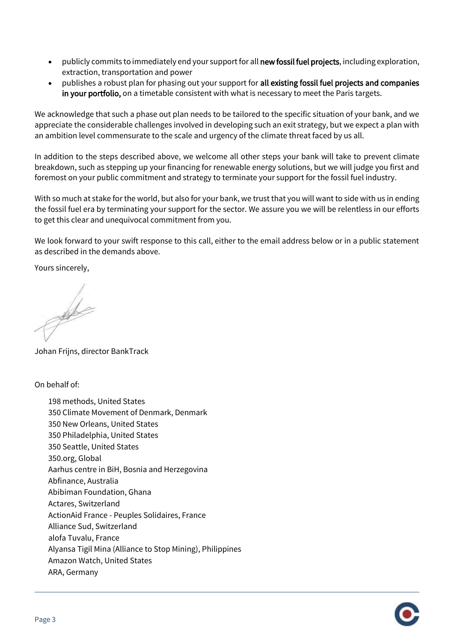- publicly commits to immediately end your support for all new fossil fuel projects, including exploration, extraction, transportation and power
- publishes a robust plan for phasing out your support for all existing fossil fuel projects and companies in your portfolio, on a timetable consistent with what is necessary to meet the Paris targets.

We acknowledge that such a phase out plan needs to be tailored to the specific situation of your bank, and we appreciate the considerable challenges involved in developing such an exit strategy, but we expect a plan with an ambition level commensurate to the scale and urgency of the climate threat faced by us all.

In addition to the steps described above, we welcome all other steps your bank will take to prevent climate breakdown, such as stepping up your financing for renewable energy solutions, but we will judge you first and foremost on your public commitment and strategy to terminate your support for the fossil fuel industry.

With so much at stake for the world, but also for your bank, we trust that you will want to side with us in ending the fossil fuel era by terminating your support for the sector. We assure you we will be relentless in our efforts to get this clear and unequivocal commitment from you.

We look forward to your swift response to this call, either to the email address below or in a public statement as described in the demands above.

Yours sincerely,

 $\frac{1}{2}$ 

Johan Frijns, director BankTrack

On behalf of:

198 methods, United States 350 Climate Movement of Denmark, Denmark 350 New Orleans, United States 350 Philadelphia, United States 350 Seattle, United States 350.org, Global Aarhus centre in BiH, Bosnia and Herzegovina Abfinance, Australia Abibiman Foundation, Ghana Actares, Switzerland ActionAid France - Peuples Solidaires, France Alliance Sud, Switzerland alofa Tuvalu, France Alyansa Tigil Mina (Alliance to Stop Mining), Philippines Amazon Watch, United States ARA, Germany

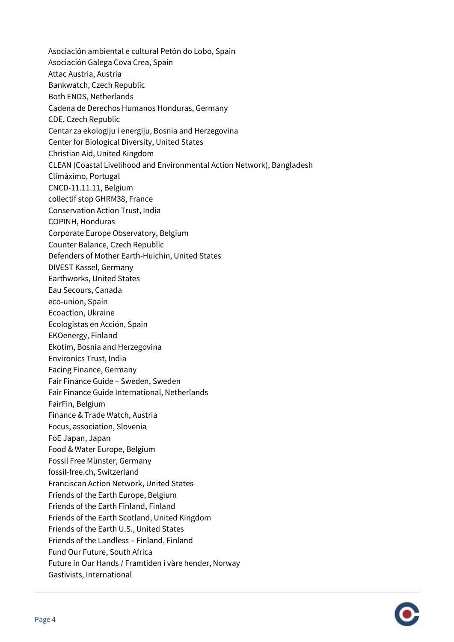Asociación ambiental e cultural Petón do Lobo, Spain Asociación Galega Cova Crea, Spain Attac Austria, Austria Bankwatch, Czech Republic Both ENDS, Netherlands Cadena de Derechos Humanos Honduras, Germany CDE, Czech Republic Centar za ekologiju i energiju, Bosnia and Herzegovina Center for Biological Diversity, United States Christian Aid, United Kingdom CLEAN (Coastal Livelihood and Environmental Action Network), Bangladesh Climáximo, Portugal CNCD-11.11.11, Belgium collectif stop GHRM38, France Conservation Action Trust, India COPINH, Honduras Corporate Europe Observatory, Belgium Counter Balance, Czech Republic Defenders of Mother Earth-Huichin, United States DIVEST Kassel, Germany Earthworks, United States Eau Secours, Canada eco-union, Spain Ecoaction, Ukraine Ecologistas en Acción, Spain EKOenergy, Finland Ekotim, Bosnia and Herzegovina Environics Trust, India Facing Finance, Germany Fair Finance Guide – Sweden, Sweden Fair Finance Guide International, Netherlands FairFin, Belgium Finance & Trade Watch, Austria Focus, association, Slovenia FoE Japan, Japan Food & Water Europe, Belgium Fossil Free Münster, Germany fossil-free.ch, Switzerland Franciscan Action Network, United States Friends of the Earth Europe, Belgium Friends of the Earth Finland, Finland Friends of the Earth Scotland, United Kingdom Friends of the Earth U.S., United States Friends of the Landless – Finland, Finland Fund Our Future, South Africa Future in Our Hands / Framtiden i våre hender, Norway Gastivists, International

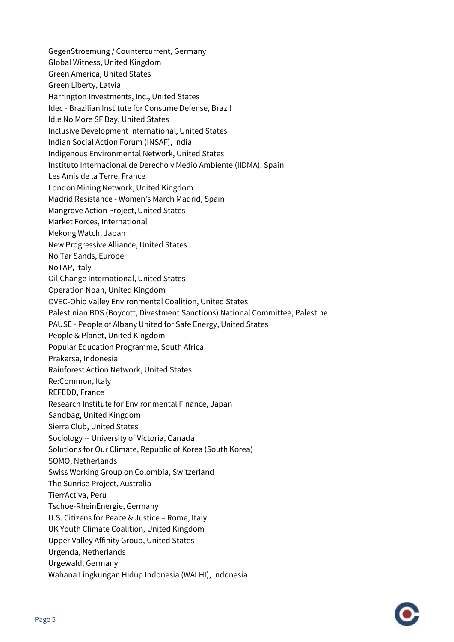GegenStroemung / Countercurrent, Germany Global Witness, United Kingdom Green America, United States Green Liberty, Latvia Harrington Investments, Inc., United States Idec - Brazilian Institute for Consume Defense, Brazil Idle No More SF Bay, United States Inclusive Development International, United States Indian Social Action Forum (INSAF), India Indigenous Environmental Network, United States Instituto Internacional de Derecho y Medio Ambiente (IIDMA), Spain Les Amis de la Terre, France London Mining Network, United Kingdom Madrid Resistance - Women's March Madrid, Spain Mangrove Action Project, United States Market Forces, International Mekong Watch, Japan New Progressive Alliance, United States No Tar Sands, Europe NoTAP, Italy Oil Change International, United States Operation Noah, United Kingdom OVEC-Ohio Valley Environmental Coalition, United States Palestinian BDS (Boycott, Divestment Sanctions) National Committee, Palestine PAUSE - People of Albany United for Safe Energy, United States People & Planet, United Kingdom Popular Education Programme, South Africa Prakarsa, Indonesia Rainforest Action Network, United States Re:Common, Italy REFEDD, France Research Institute for Environmental Finance, Japan Sandbag, United Kingdom Sierra Club, United States Sociology -- University of Victoria, Canada Solutions for Our Climate, Republic of Korea (South Korea) SOMO, Netherlands Swiss Working Group on Colombia, Switzerland The Sunrise Project, Australia TierrActiva, Peru Tschoe-RheinEnergie, Germany U.S. Citizens for Peace & Justice – Rome, Italy UK Youth Climate Coalition, United Kingdom Upper Valley Affinity Group, United States Urgenda, Netherlands Urgewald, Germany Wahana Lingkungan Hidup Indonesia (WALHI), Indonesia